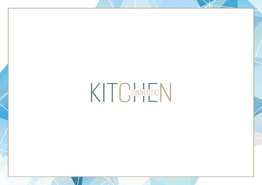KITCMECTON